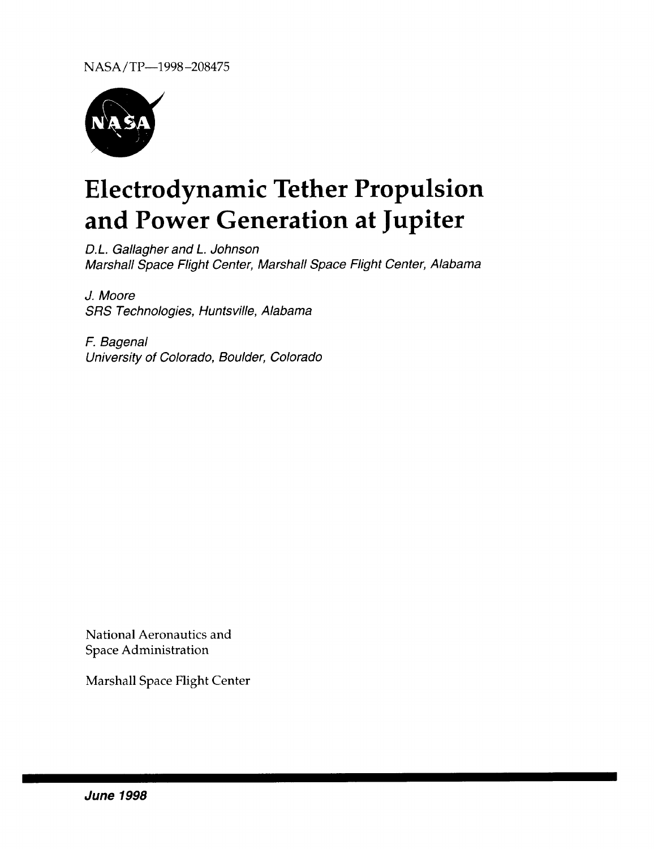

# **Electrodynamic Tether Propulsion and Power Generation at Jupiter**

D.L. Gallagher and L. Johnson Marshall Space Flight Center, Marshall Space Flight Center, Alabama

J. Moore SRS Technologies, Huntsville, Alabama

F. Bagenal University of Colorado, Boulder, Colorado

National Aeronautics and Space Administration

Marshall Space Flight Center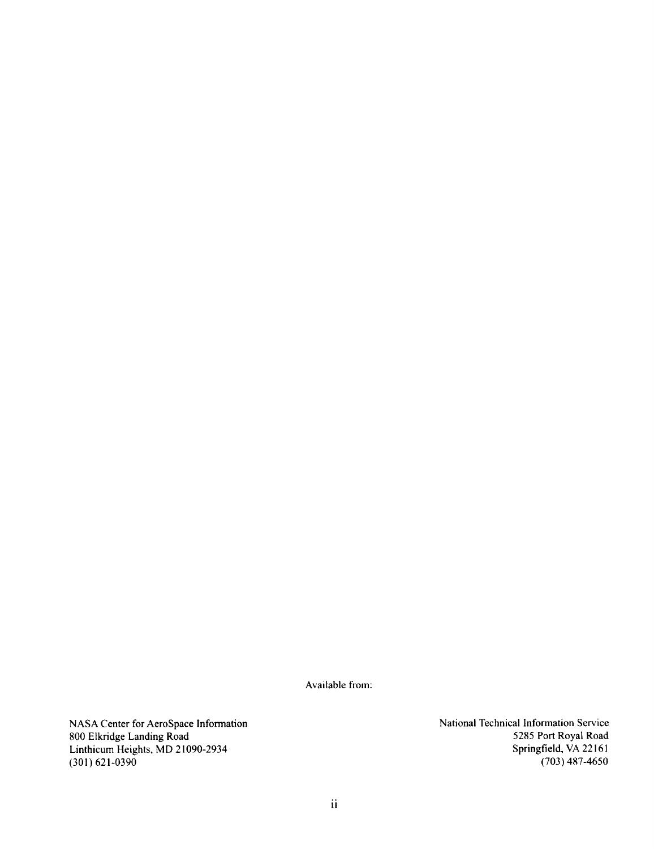Available from:

NASA Center for AeroSpace Information 800 Elkridge Landing Road Linthicum Heights, MD 21090-2934  $(301)$  621-0390

**National** Technical Information Service 5285 Port Royal Road Springfield, VA 22161 (703) 487-4650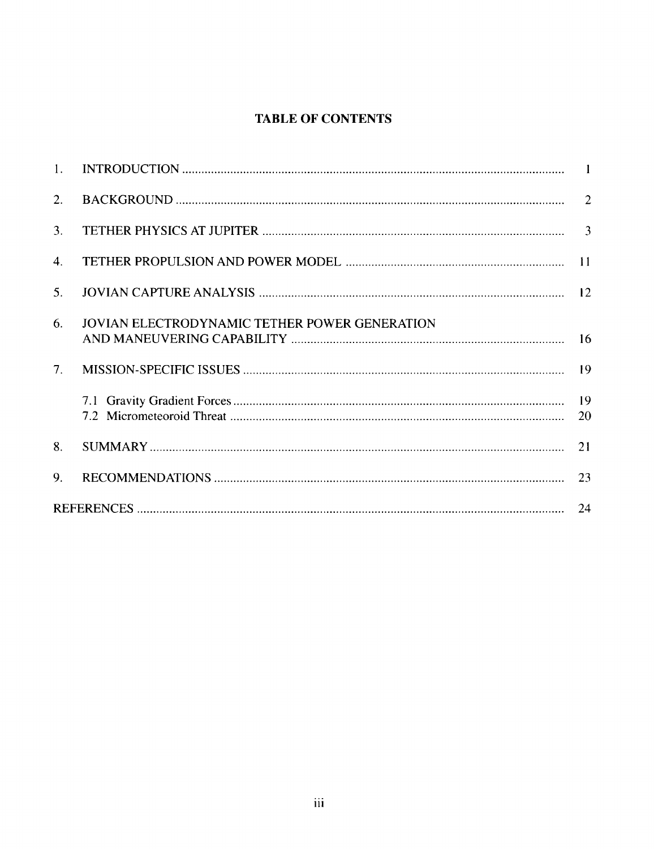# **TABLE OF CONTENTS**

| 1. |                                               |    |
|----|-----------------------------------------------|----|
| 2. |                                               |    |
| 3. |                                               |    |
| 4. |                                               |    |
| 5. |                                               |    |
| 6. | JOVIAN ELECTRODYNAMIC TETHER POWER GENERATION |    |
| 7. |                                               |    |
|    |                                               | 20 |
| 8. |                                               |    |
| 9. |                                               |    |
|    |                                               |    |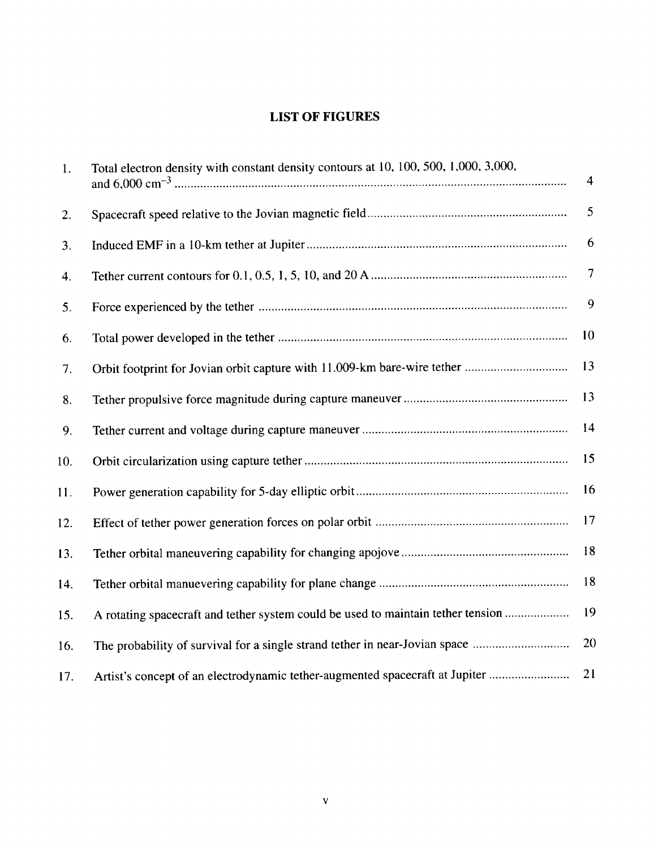# **LIST** OF **FIGURES**

| 1.  | Total electron density with constant density contours at 10, 100, 500, 1,000, 3,000, | $\overline{4}$ |
|-----|--------------------------------------------------------------------------------------|----------------|
| 2.  |                                                                                      | 5              |
| 3.  |                                                                                      | 6              |
| 4.  |                                                                                      | $\overline{7}$ |
| 5.  |                                                                                      | 9              |
| 6.  |                                                                                      | 10             |
| 7.  |                                                                                      | 13             |
| 8.  |                                                                                      | 13             |
| 9.  |                                                                                      | 14             |
| 10. |                                                                                      | 15             |
| 11. |                                                                                      | 16             |
| 12. |                                                                                      | 17             |
| 13. |                                                                                      | 18             |
| 14. |                                                                                      | 18             |
| 15. | A rotating spacecraft and tether system could be used to maintain tether tension     | 19             |
| 16. | The probability of survival for a single strand tether in near-Jovian space          | 20             |
| 17. | Artist's concept of an electrodynamic tether-augmented spacecraft at Jupiter         | 21             |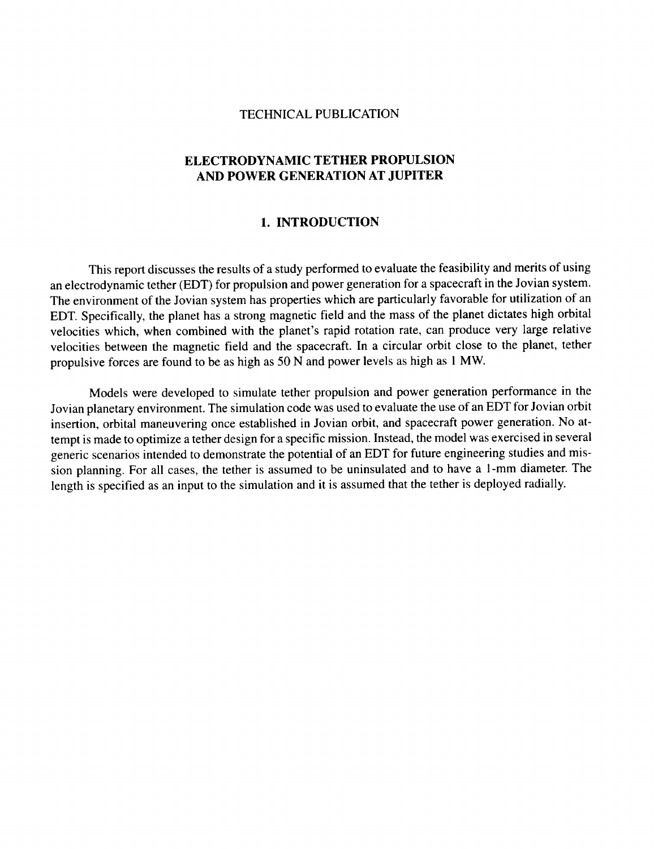#### TECHNICAL PUBLICATION

## **ELECTRODYNAMIC TETHER PROPULSION AND POWER GENERATION AT JUPITER**

#### **1.** INTRODUCTION

This report discusses the results of **a** study performed to evaluate the feasibility and merits of using an electrodynamic tether (EDT) for propulsion and power generation for a spacecraft in the Jovian system. The environment of the Jovian system has properties which are particularly favorable for utilization of an EDT. Specifically, the planet has a strong magnetic field and the mass of the planet dictates high orbital velocities which, when combined with the planet's rapid rotation rate, can produce very large relative velocities between the magnetic field and the spacecraft. In a circular orbit close to the planet, tether propulsive forces are found to be as high as 50 N and power levels as high as 1 MW.

Models were developed to simulate tether propulsion and power generation performance in the Jovian planetary environment. The simulation code was used to evaluate the use of an EDT for Jovian orbit insertion, orbital maneuvering once established in Jovian orbit, and spacecraft power generation. No attempt is made to optimize a tether design for a specific mission. Instead, the model was exercised in several generic scenarios intended to demonstrate the potential of an EDT for future engineering studies and mission planning. For all cases, the tether is assumed to be uninsulated and to have a 1-mm diameter. The length is specified as an input to the simulation and it is assumed that the tether is deployed radially.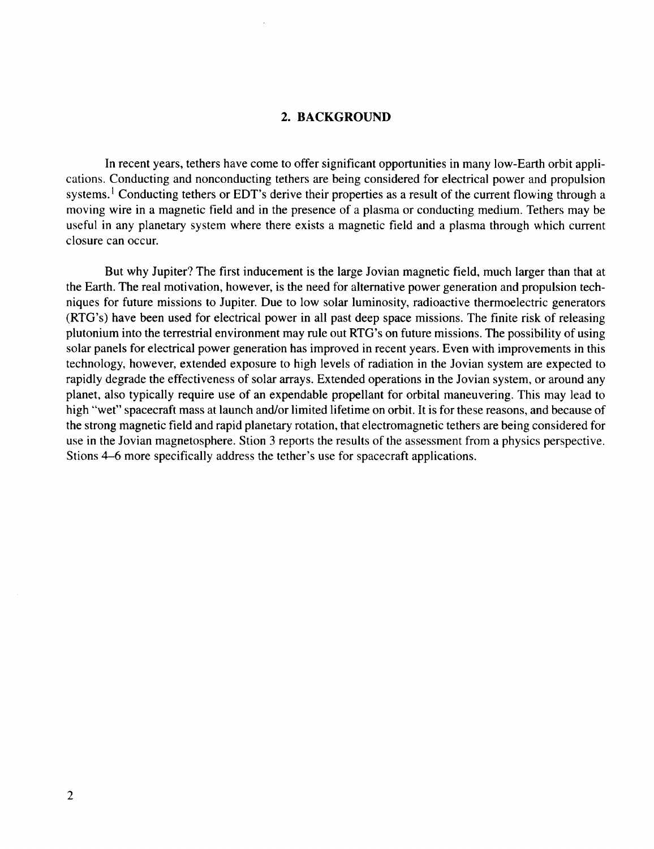#### **2. BACKGROUND**

In recent years, tethers have come to offer significant opportunities **in** many low-Earth orbit applications. Conducting and nonconducting tethers are being considered for electrical power and propulsion systems.<sup>1</sup> Conducting tethers or EDT's derive their properties as a result of the current flowing through a moving wire in a magnetic field and in the presence of a plasma or conducting medium. Tethers may be useful in any planetary system where there exists a magnetic field and a plasma through which current closure can occur.

But why Jupiter? The first inducement is the large Jovian magnetic field, much larger than that at the Earth. The real motivation, however, is the need for alternative power generation and propulsion techniques for future missions to Jupiter. Due to low solar luminosity, radioactive thermoelectric generators (RTG's) have been used for electrical power in all past deep space missions. The finite risk of releasing plutonium into the terrestrial environment may rule out RTG's on future missions. The possibility of using solar panels for electrical power generation has improved in recent years. Even with improvements in this technology, however, extended exposure to high levels of radiation in the Jovian system are expected to rapidly degrade the effectiveness of solar arrays. Extended operations in the Jovian system, or around any planet, also typically require use of an expendable propellant for orbital maneuvering. This may lead to high "wet" spacecraft mass at launch and/or limited lifetime on orbit. It is for these reasons, and because of the strong magnetic field and rapid planetary rotation, that electromagnetic tethers are being considered for use in the Jovian magnetosphere. Stion 3 reports the results of the assessment from a physics perspective. Stions 4-6 more specifically address the tether's use for spacecraft applications.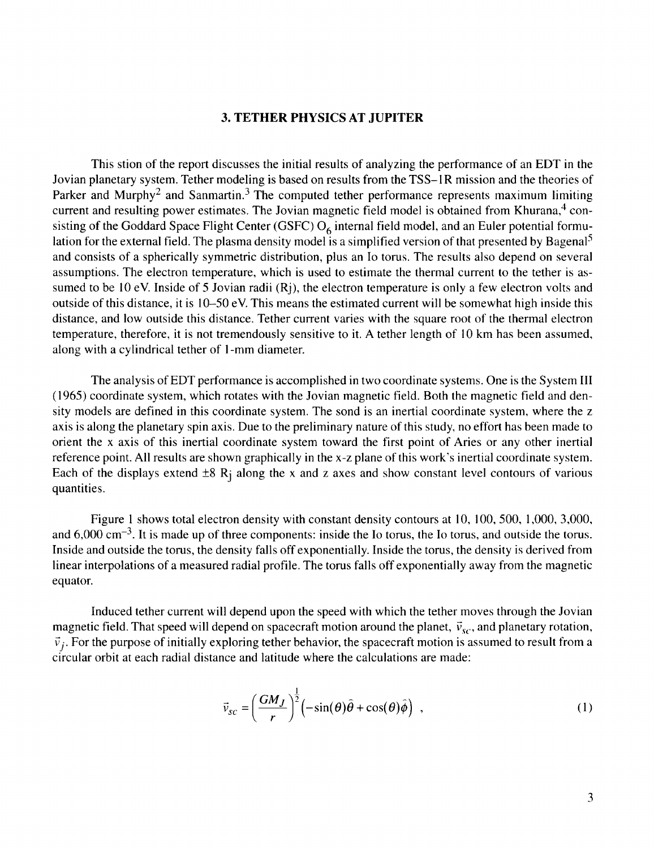#### **3. TETHER PHYSICS AT JUPITER**

This stion of the report discusses the initial results of **analyzing** the **performance** of **an** EDT **in** the Jovian planetary system. Tether modeling is based on results from the TSS-I R mission and the theories of Parker and Murphy<sup>2</sup> and Sanmartin.<sup>3</sup> The computed tether performance represents maximum limiting current and resulting power estimates. The Jovian magnetic field model is obtained from Khurana, **4** consisting of the Goddard Space Flight Center (GSFC)  $O<sub>6</sub>$  internal field model, and an Euler potential formulation for the external field. The plasma density model is a simplified version of that presented by Bagenal<sup>5</sup> and consists of a spherically symmetric distribution, plus an Io toms. The results also depend on several assumptions. The electron temperature, which is used to estimate the thermal current to the tether is assumed to be 10 eV. Inside of 5 Jovian radii (Rj), the electron temperature is only **a** few electron volts and outside of this distance, it is 10-50 eV. This means the estimated current will be somewhat high inside this distance, and low outside this distance. Tether current varies with the square root of the thermal electron temperature, therefore, it is not tremendously sensitive to it. A tether length of 10 km has been assumed, along with a cylindrical tether of l-mm diameter.

The analysis of EDT performance is accomplished in two coordinate systems. One is the System III (1965) coordinate system, which rotates with the Jovian magnetic field. Both the magnetic field and density models are defined in this coordinate system. The sond is an inertial coordinate system, where the z axis is along the planetary spin axis. Due to the preliminary nature of this study, no effort has been made to orient the x axis of this inertial coordinate system toward the first point of Aries or any other inertial reference point. All results are shown graphically in the x-z plane of this work's inertial coordinate system. Each of the displays extend  $\pm 8$  R<sub>i</sub> along the x and z axes and show constant level contours of various quantities.

Figure 1 shows total electron density with constant density contours at 10, 100, 500, 1,000, 3,000, and  $6,000 \text{ cm}^{-3}$ . It is made up of three components: inside the Io torus, the Io torus, and outside the torus. Inside and outside the torus, the density falls off exponentially. Inside the torus, the density is derived from linear interpolations of a measured radial profile. The torus falls off exponentially away from the magnetic equator.

Induced tether current will depend upon the speed with which the tether moves through the Jovian magnetic field. That speed will depend on spacecraft motion around the planet,  $\vec{v}_{sc}$ , and planetary rotation,  $\vec{v}_i$ . For the purpose of initially exploring tether behavior, the spacecraft motion is assumed to result from a circular orbit at each radial distance and latitude where the calculations are made:

$$
\vec{v}_{sc} = \left(\frac{GM_J}{r}\right)^{\frac{1}{2}} \left(-\sin(\theta)\hat{\theta} + \cos(\theta)\hat{\phi}\right) , \qquad (1)
$$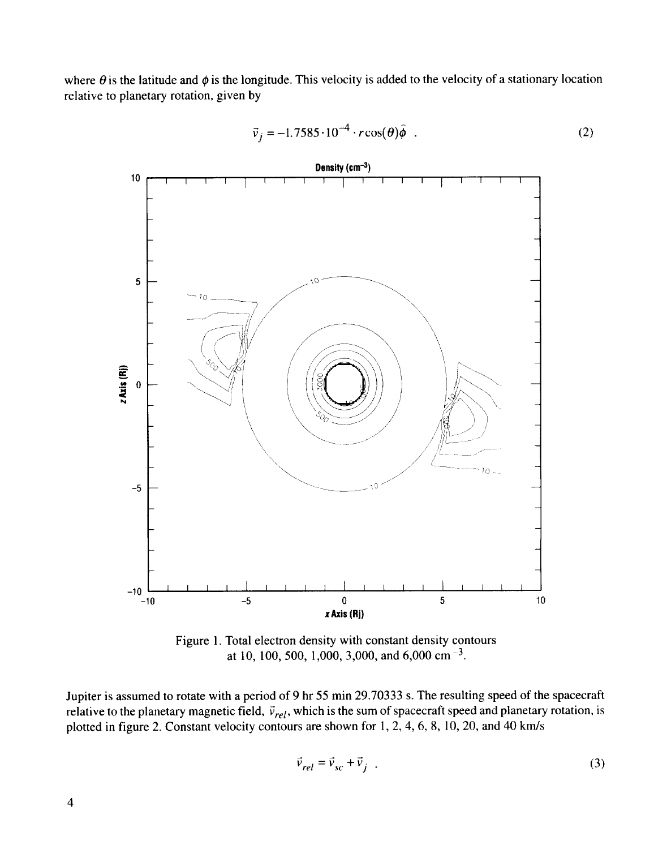where  $\theta$  is the latitude and  $\phi$  is the longitude. This velocity is added to the velocity of a stationary location relative to planetary rotation, given by



$$
\vec{v}_j = -1.7585 \cdot 10^{-4} \cdot r \cos(\theta) \hat{\phi} \quad . \tag{2}
$$

Figure 1. Total electron density with constant density contours at 10, 100, 500, 1,000, 3,000, and 6,000 cm<sup>-3</sup>.

Jupiter is assumed to rotate with a period of 9 hr 55 min 29.70333 s. The resulting speed of the spacecraft relative to the planetary magnetic field,  $\vec{v}_{rel}$ , which is the sum of spacecraft speed and planetary rotation, is plotted in figure 2. Constant velocity contours are shown for 1, 2, 4, 6, 8, 10, 20, and 40 km/s

$$
\vec{v}_{rel} = \vec{v}_{sc} + \vec{v}_j \tag{3}
$$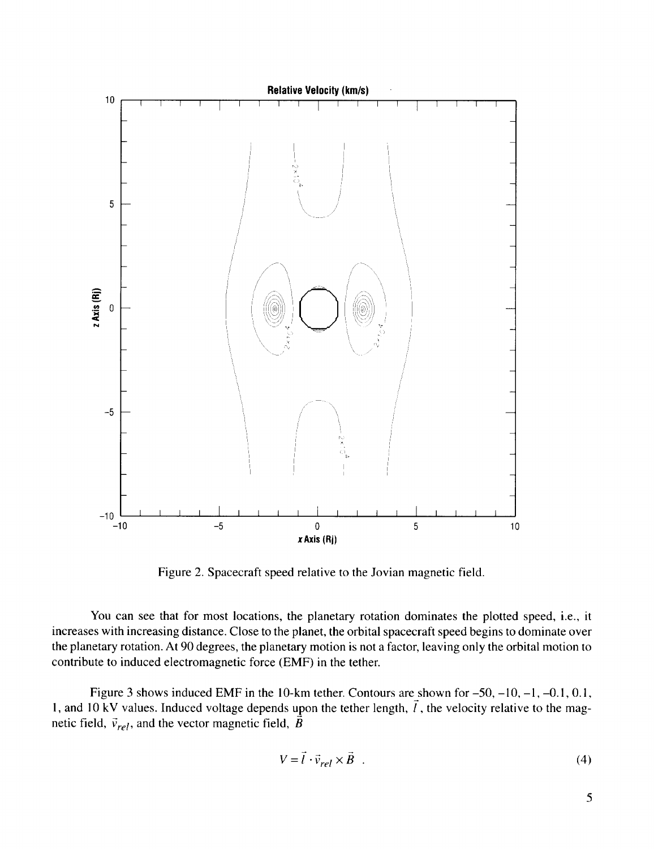

Figure 2. Spacecraft speed relative to the Jovian magnetic field.

You can see that for most locations, the planetary rotation dominates the plotted speed, i.e., it increases with increasing distance. Close to the planet, the orbital spacecraft speed begins to dominate over the planetary rotation. At 90 degrees, the planetary motion is not a factor, leaving only the orbital motion to contribute to induced electromagnetic force (EMF) in the tether.

Figure 3 shows induced EMF in the 10-km tether. Contours are shown for  $-50$ ,  $-10$ ,  $-1$ ,  $-0.1$ , 0.1, 1, and 10 kV values. Induced voltage depends upon the tether length,  $\vec{l}$ , the velocity relative to the magnetic field,  $\vec{v}_{rel}$ , and the vector magnetic field,  $\vec{B}$ 

$$
V = \vec{l} \cdot \vec{v}_{rel} \times \vec{B} \tag{4}
$$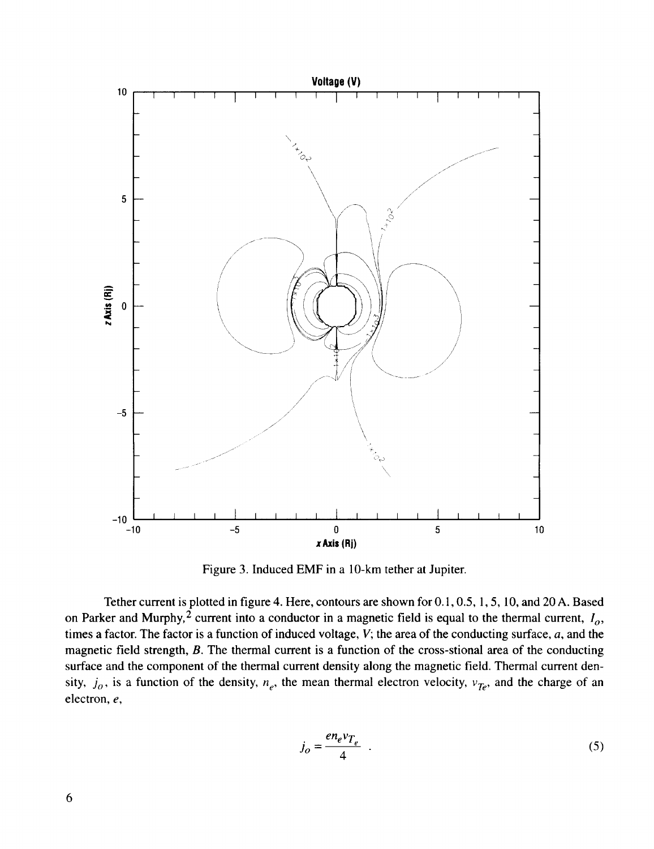

Figure 3. Induced EMF in a 10-km tether at Jupiter.

Tether current is plotted in figure 4. Here, contours are shown for 0.1,0.5, 1, 5, 10, and 20 A. Based on Parker and Murphy,<sup> $2$ </sup> current into a conductor in a magnetic field is equal to the thermal current,  $I_o$ , times a factor. The factor is a function of induced voltage, *V;* the area of the conducting surface, *a,* and the magnetic field strength, *B.* The thermal current is a function of the cross-stional area of the conducting surface and the component of the thermal current density along the magnetic field. Thermal current density,  $j_o$ , is a function of the density,  $n_e$ , the mean thermal electron velocity,  $v_{Te}$ , and the charge of an electron, *e,*

$$
j_o = \frac{en_e v_{T_e}}{4} \tag{5}
$$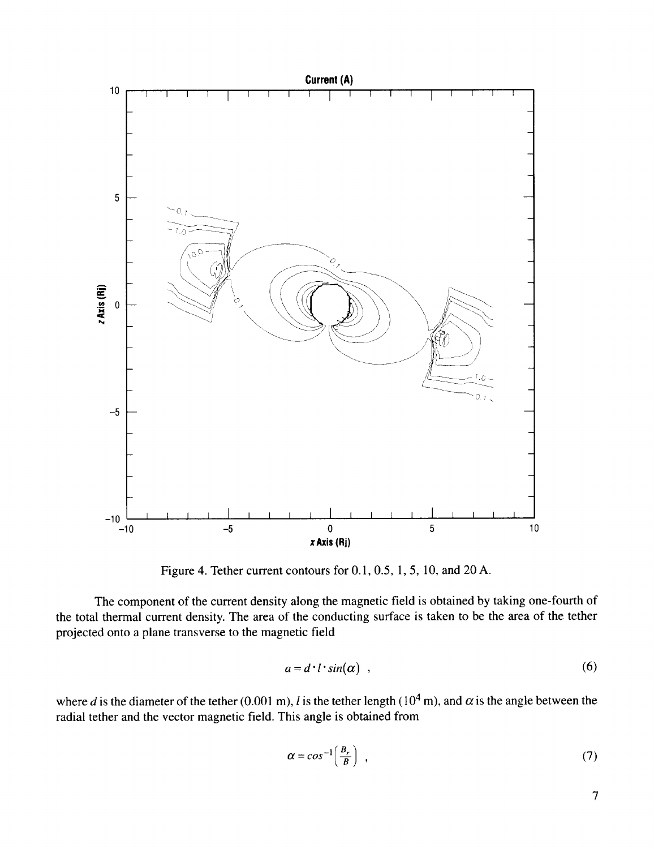

Figure 4. Tether current contours for 0.1, 0.5, 1, 5, 10, and 20 A.

The component of the current density along the magnetic field is obtained by taking one-fourth of the total thermal current density. The area of the conducting surface is taken to be the area of the tether projected onto a plane transverse to the magnetic field

$$
a = d \cdot l \cdot \sin(\alpha) \quad , \tag{6}
$$

where *d* is the diameter of the tether (0.001 m), *l* is the tether length ( $10<sup>4</sup>$  m), and  $\alpha$  is the angle between the radial tether and the vector magnetic field. This angle is obtained from

$$
\alpha = \cos^{-1}\left(\frac{B_r}{B}\right) \tag{7}
$$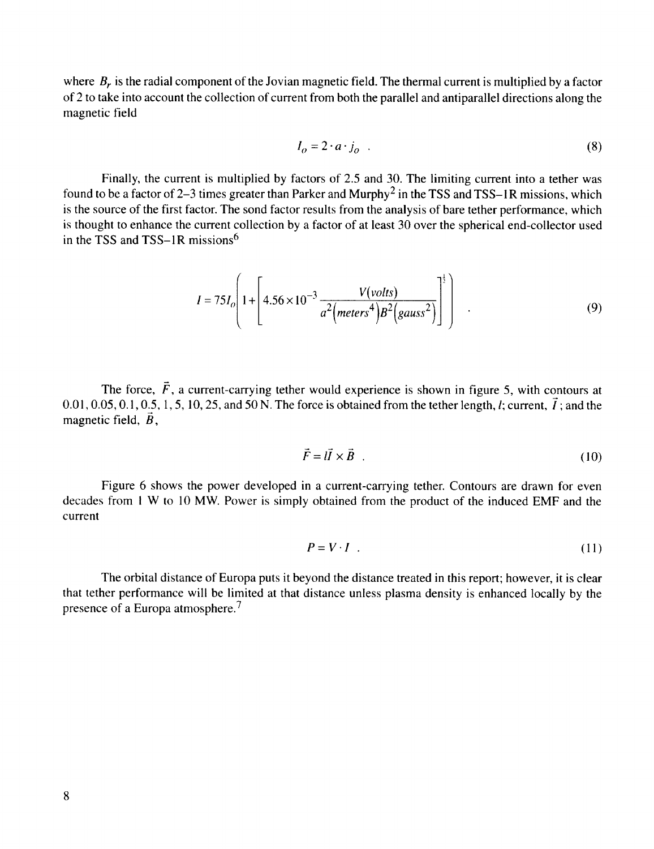where  $B<sub>r</sub>$  is the radial component of the Jovian magnetic field. The thermal current is multiplied by a factor of 2 to take into account the collection of current from both the parallel and antiparallel directions along the magnetic field

$$
I_o = 2 \cdot a \cdot j_o \tag{8}
$$

Finally, the current is multiplied by factors of 2.5 and 30. The limiting current into a tether was found to be a factor of 2–3 times greater than Parker and Murphy<sup>2</sup> in the TSS and TSS–1R missions, which is the source of the first factor. The sond factor results from the analysis of bare tether performance, which is thought to enhance the current collection by a factor of at least 30 over the spherical end-collector used in the TSS and TSS-1R missions<sup>6</sup>

$$
I = 75I_o \left( 1 + \left[ 4.56 \times 10^{-3} \frac{V(volts)}{a^2 \left( meters^4\right) B^2 \left(gauss^2\right)} \right] \right) \tag{9}
$$

The force,  $\vec{F}$ , a current-carrying tether would experience is shown in figure 5, with contours at 0.01, 0.05, 0.1, 0.5, 1, 5, 10, 25, and 50 N. The force is obtained from the tether length, *l*; current,  $\vec{l}$ ; and the magnetic field,  $\vec{B}$ ,

$$
\vec{F} = l\vec{l} \times \vec{B} \tag{10}
$$

Figure 6 shows the power developed in a current-carrying tether. *Contours* are drawn for even decades from 1 W to l0 MW. Power is simply obtained from the product of the induced EMF and the current

$$
P = V \cdot I \tag{11}
$$

The orbital distance of Europa puts it beyond the distance treated in this report; however, it is clear that tether performance will be limited at that distance unless plasma density is enhanced locally by the presence of a Europa atmosphere.<sup>7</sup>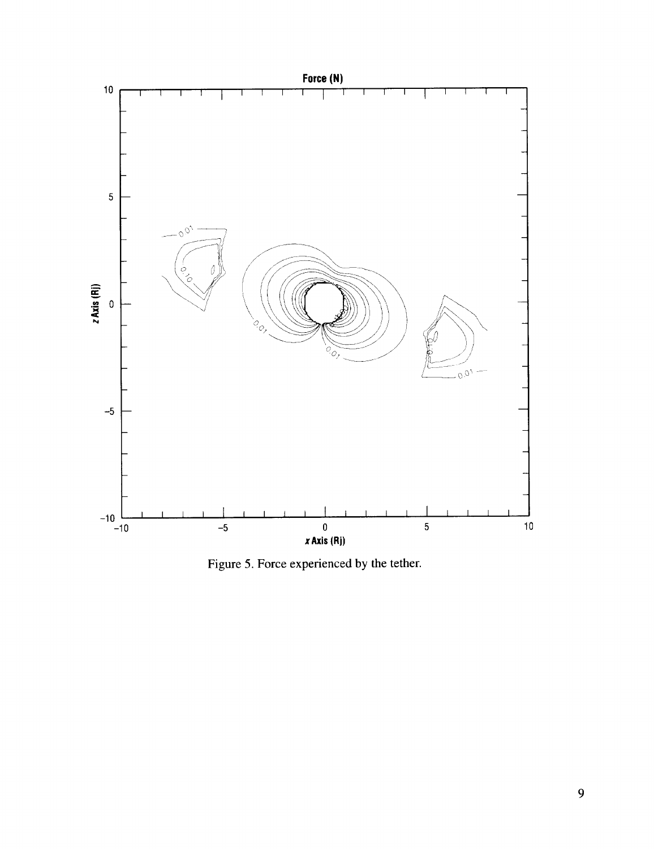

Figure 5. Force experienced by the tether.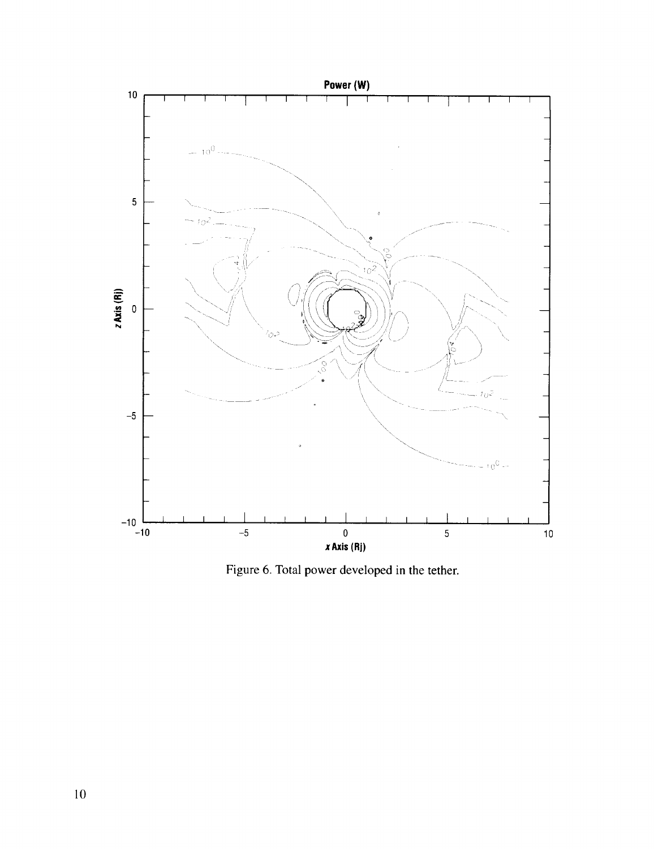

Figure 6. Total power developed in the tether.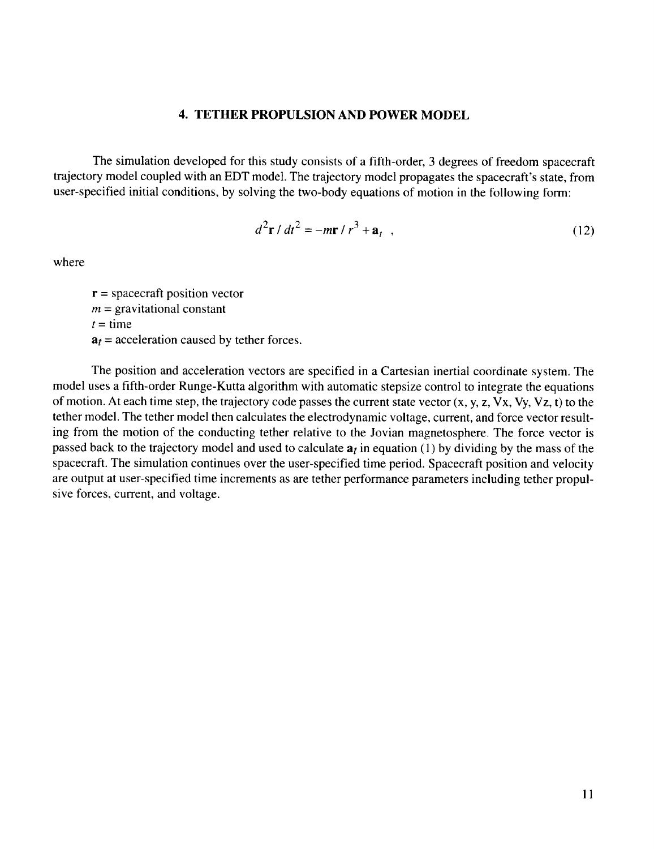#### 4. **TETHER PROPULSION AND POWER MODEL**

**The** simulation developed for this study consists of a fifth-order, 3 degrees of freedom spacecraft trajectory model coupled with an EDT model. The trajectory model propagates the spacecraft's state, from user-specified initial conditions, by solving the two-body equations of motion in the following form:

$$
d^2\mathbf{r} / dt^2 = -m\mathbf{r} / r^3 + \mathbf{a}_t , \qquad (12)
$$

where

 $r =$  spacecraft position vector  $m =$  gravitational constant  $t =$  time  $a_t$  = acceleration caused by tether forces.

The position and acceleration vectors are specified in a Cartesian inertial coordinate system. The model uses a fifth-order Runge-Kutta algorithm with automatic stepsize control to integrate the equations of motion. At each time step, the trajectory code passes the current state vector  $(x, y, z, Vx, Vy, Vz, t)$  to the tether model. The tether model then calculates the electrodynamic voltage, current, and force vector resulting from the motion of the conducting tether relative to the Jovian magnetosphere. The force vector is passed back to the trajectory model and used to calculate  $a_t$  in equation (1) by dividing by the mass of the spacecraft. The simulation continues over the user-specified time period. Spacecraft position and velocity are output at user-specified time increments as are tether performance parameters including tether propulsive forces, current, and voltage.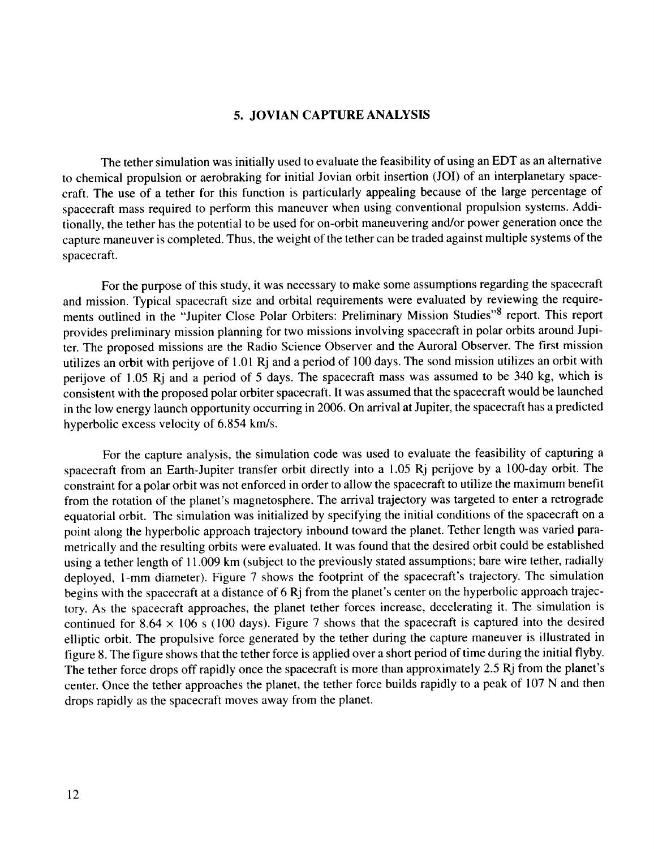#### **5. JOVIAN CAPTURE ANALYSIS**

The tether simulation was **initially** used to evaluate the feasibility of using **an** EDT as an **alternative** to chemical propulsion or aerobraking for initial Jovian orbit insertion (JOI) of an interplanetary spacecraft. The use of a tether for this function is particularly appealing because of the large percentage of spacecraft mass required to perform this maneuver when using conventional propulsion systems. Additionally, the tether has the potential to be used for on-orbit maneuvering and/or power generation once the capture maneuver is completed. Thus, the weight of the tether can be traded against multiple systems of the spacecraft.

For the purpose of this study, it was necessary to make some assumptions regarding the spacecraft and mission. Typical spacecraft size and orbital requirements were evaluated by reviewing the requirements outlined in the "Jupiter Close Polar Orbiters: Preliminary Mission Studies"8 report. This report provides preliminary mission planning for two missions involving spacecraft in polar orbits around Jupiter. The proposed missions are the Radio Science Observer and the Auroral Observer. The first mission utilizes an orbit with perijove of 1.01 Rj and a period of 100 days. The sond mission utilizes an orbit with perijove of 1.05 Rj and a period of 5 days. The spacecraft mass was assumed to be 340 kg, which is consistent with the proposed polar orbiter spacecraft. It was assumed that the spacecraft would be launched in the low energy launch opportunity occurring in 2006. On arrival at Jupiter, the spacecraft has a predicted hyperbolic excess velocity of 6.854 km/s.

For the capture **analysis,** the simulation code was used to evaluate the feasibility of **capturing** a spacecraft from an Earth-Jupiter transfer orbit directly into a 1.05 Rj perijove by a 100-day orbit. The constraint for a polar orbit was not enforced in order to allow the spacecraft to utilize the maximum benefit from the rotation of the planet's magnetosphere. The arrival trajectory was targeted to enter a retrograde equatorial orbit. The simulation was initialized by specifying the initial conditions of the spacecraft on a point along the hyperbolic approach trajectory inbound toward the planet. Tether length was varied parametrically and the resulting orbits were evaluated. It was found that the desired orbit could be established using a tether length of 11.009 km (subject to the previously stated assumptions; bare wire tether, radially deployed, l-mm diameter). Figure 7 shows the footprint of the spacecraft's trajectory. The simulation begins with the spacecraft at a distance of 6 Rj from the planet's center on the hyperbolic approach trajectory. As the spacecraft approaches, the planet tether forces increase, decelerating it. The simulation is continued for  $8.64 \times 106$  s (100 days). Figure 7 shows that the spacecraft is captured into the desired elliptic orbit. The propulsive force generated by the tether during the capture maneuver is illustrated in figure 8. The figure shows that the tether force is applied over a short period of time during the initial flyby. The tether force drops off rapidly once the spacecraft is more than approximately 2.5 Rj from the planet's center. Once the tether approaches the planet, the tether force builds rapidly to a peak of 107 N and then drops rapidly as the spacecraft moves away from the planet.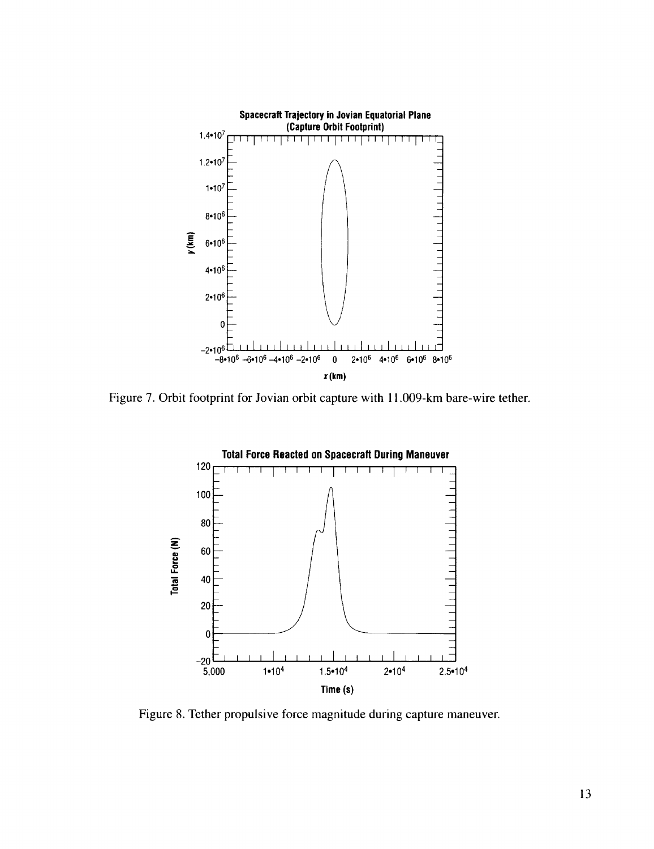

Figure 7. Orbit footprint for Jovian orbit capture with 11.009-km bare-wire tether.



Figure 8. Tether propulsive force magnitude during capture maneuver.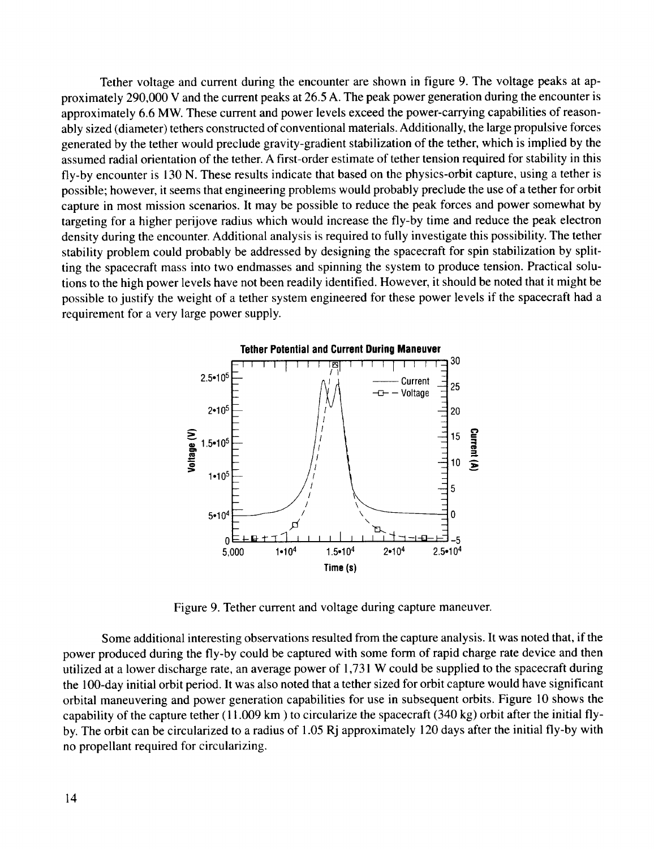Tether voltage and current during the encounter are shown in figure 9. The voltage peaks at approximately 290,000 V and the current peaks at 26.5 A. The peak power generation during the encounter is approximately 6.6 MW. These current and power levels exceed the power-carrying capabilities of reasonably sized (diameter) tethers constructed of conventional materials. Additionally, the large propulsive forces generated by the tether would preclude gravity-gradient stabilization of the tether, which is implied by the assumed radial orientation of the tether. A first-order estimate of tether tension required for stability in this fly-by encounter is 130 N. These results indicate that based on the physics-orbit capture, using a tether is possible; however, it seems that engineering problems would probably preclude the use of a tether for orbit capture in most mission scenarios. It may be possible to reduce the peak forces and power somewhat by targeting for a higher perijove radius which would increase the fly-by time and reduce the peak electron density during the encounter. Additional analysis is required to fully investigate this possibility. The tether stability problem could probably be addressed by designing the spacecraft for spin stabilization by splitting the spacecraft mass into two endmasses and spinning the system to produce tension. Practical solutions to the high power levels have not been readily identified. However, it should be noted that it might be possible to justify the weight of a tether system engineered for these power levels if the spacecraft had a requirement for a very large power supply.



Figure 9. Tether current and voltage during capture maneuver.

Some additional interesting observations resulted from the capture analysis. It was noted that, if the power produced during the fly-by could be captured with some form of rapid charge rate device and then utilized at a lower discharge rate, an average power of 1,731 W could be supplied to the spacecraft during the 100-day initial orbit period. It was also noted that a tether sized for orbit capture would have significant orbital maneuvering and power generation capabilities for use in subsequent orbits. Figure 10 shows the capability of the capture tether ( 11.009 km ) to circularize the spacecraft (340 kg) orbit after the initial flyby. The orbit can be circularized to a radius of 1.05 Rj approximately 120 days after the initial fly-by with no propellant required for circularizing.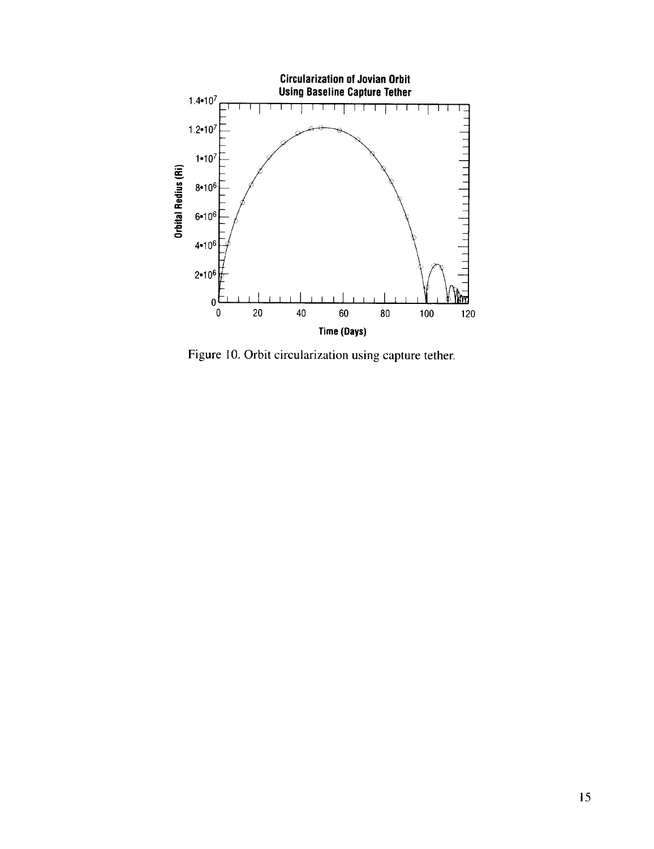

Figure 10. Orbit circularization using capture tether.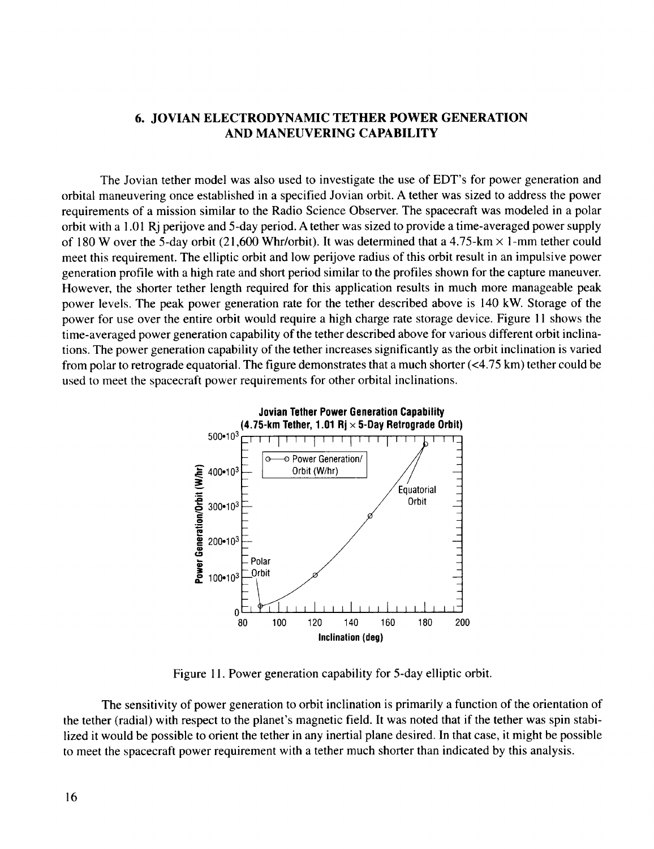## **6. JOVIAN ELECTRODYNAMIC TETHER POWER GENERATION AND MANEUVERING CAPABILITY**

The Jovian tether model was also used to investigate the use of EDT's for power generation **and** orbital maneuvering once established in a specified Jovian orbit. A tether was sized to address the power requirements of a mission similar to the Radio Science Observer. The spacecraft was modeled in a polar orbit with a 1.01 Rj perijove and 5-day period. A tether was sized to provide a time-averaged power supply of 180 W over the 5-day orbit (21,600 Whr/orbit). It was determined that a 4.75-km  $\times$  1-mm tether could meet this requirement. The elliptic orbit and low perijove radius of this orbit result in an impulsive power generation profile with a high rate and short period similar to the profiles shown for the capture maneuver. However, the shorter tether length required for this application results in much more manageable peak power levels. The peak power generation rate for the tether described above is 140 kW. Storage of the power for use over the entire orbit would require a high charge rate storage device. Figure 11 shows the time-averaged power generation capability of the tether described above for various different orbit inclinations. The power generation capability of the tether increases significantly as the orbit inclination is varied from polar to retrograde equatorial. The figure demonstrates that a much shorter (<4.75 km) tether could be used to meet the spacecraft power requirements for other orbital inclinations.



Figure 11. Power generation capability for 5-day elliptic orbit.

The sensitivity of power generation to orbit inclination is primarily a function of the orientation of the tether (radial) with respect to the planet's magnetic field. It was noted that if the tether was spin stabilized it would be possible to orient the tether in any inertial plane desired. In that case, it might be possible to meet the spacecraft power requirement with a tether much shorter than indicated by this analysis.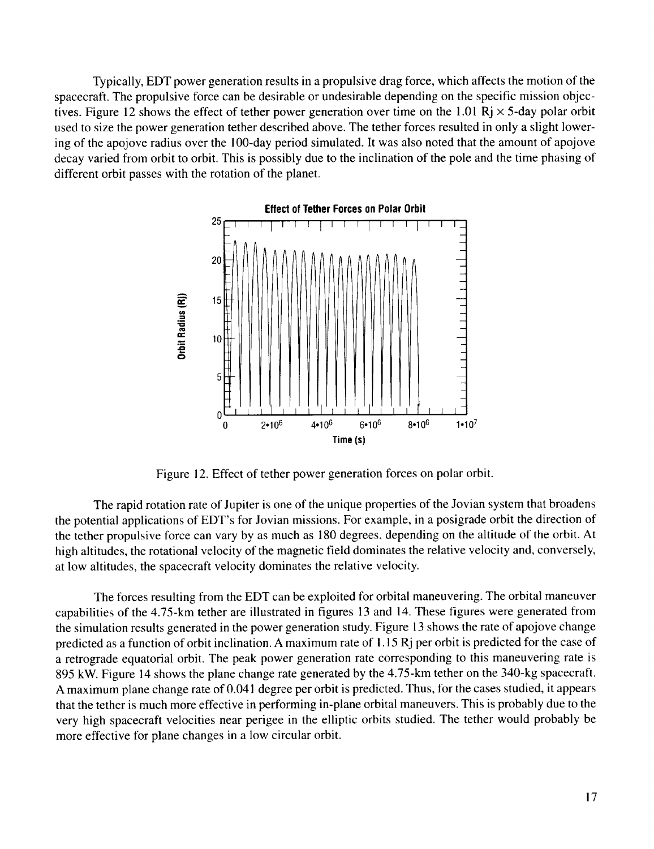Typically, EDT power generation results **in** a propulsive drag force, which affects the motion of the spacecraft. The propulsive force can be desirable or undesirable depending on the specific mission objectives. Figure 12 shows the effect of tether power generation over time on the 1.01 Rj  $\times$  5-day polar orbit used to size the power generation tether described above. The tether forces resulted in only a slight lowering of the apojove radius over the 100-day period simulated. It was also noted that the amount of apojove decay varied from orbit to orbit. This is possibly due to the inclination of the pole and the time phasing of different orbit passes with the rotation of the planet.



Figure 12. Effect of tether power generation forces on polar orbit.

The rapid rotation rate of Jupiter is one of the unique properties of the Jovian system that broadens the potential applications of EDT's for Jovian missions. For example, in a posigrade orbit the direction of the tether propulsive force can vary by as much as 180 degrees, depending on the altitude of the orbit. At high altitudes, the rotational velocity of the magnetic field dominates the relative velocity and, conversely, at low altitudes, the spacecraft velocity dominates the relative velocity.

The forces resulting from the EDT can be exploited for orbital maneuvering. The orbital maneuver capabilities of the 4.75-km tether are illustrated in figures 13 and 14. These figures were generated from the simulation results generated in the power generation study. Figure 13 shows the rate of apojove change predicted as a function of orbit inclination. A maximum rate of 1.15 Rj per orbit is predicted for the case of a retrograde equatorial orbit. The peak power generation rate corresponding to this maneuvering rate is 895 kW. Figure 14 shows the plane change rate generated by the 4.75-km tether on the 340-kg spacecraft. A maximum plane change rate of 0.041 degree per orbit is predicted. Thus, for the cases studied, it appears that the tether is much more effective in performing in-plane orbital maneuvers. This is probably due to the very high spacecraft velocities near perigee in the elliptic orbits studied. The tether would probably be more effective for plane changes in a low circular orbit.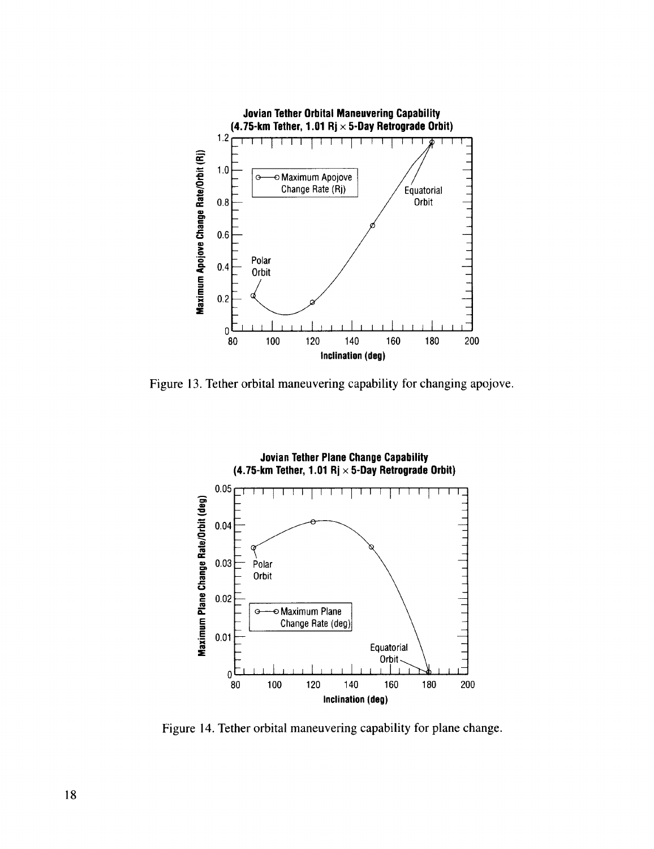

Figure 13. Tether orbital maneuvering capability for changing apojove.



Figure 14. Tether orbital maneuvering capability for plane change.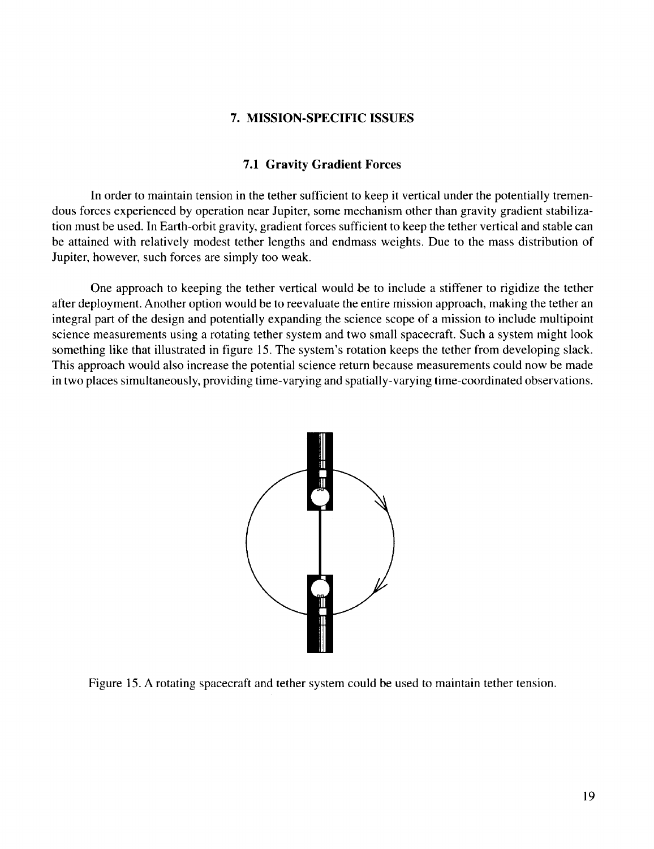#### **7. MISSION-SPECIFIC ISSUES**

#### **7.1 Gravity Gradient Forces**

In order to maintain tension in the tether sufficient to keep it vertical under the potentially tremendous forces experienced by operation near Jupiter, some mechanism other than gravity gradient stabilization must be used. In Earth-orbit gravity, gradient forces sufficient to keep the tether vertical and stable can be attained with relatively modest tether lengths and endmass weights. Due to the mass distribution of Jupiter, however, such forces are simply too weak.

One **approach** to keeping the tether **vertical** would be to **include a** stiffener to rigidize the tether after deployment. Another option would be to reevaluate the entire mission approach, making the tether an integral part of the design and potentially expanding the science scope of a mission to include multipoint science measurements using a rotating tether system and two small spacecraft. Such a system might look something like that illustrated in figure 15. The system's rotation keeps the tether from developing slack. This approach would also increase the potential science return because measurements could now be made in two places simultaneously, providing time-varying and spatially-varying time-coordinated observations.



Figure 15. A rotating spacecraft and tether system could be used to maintain tether tension.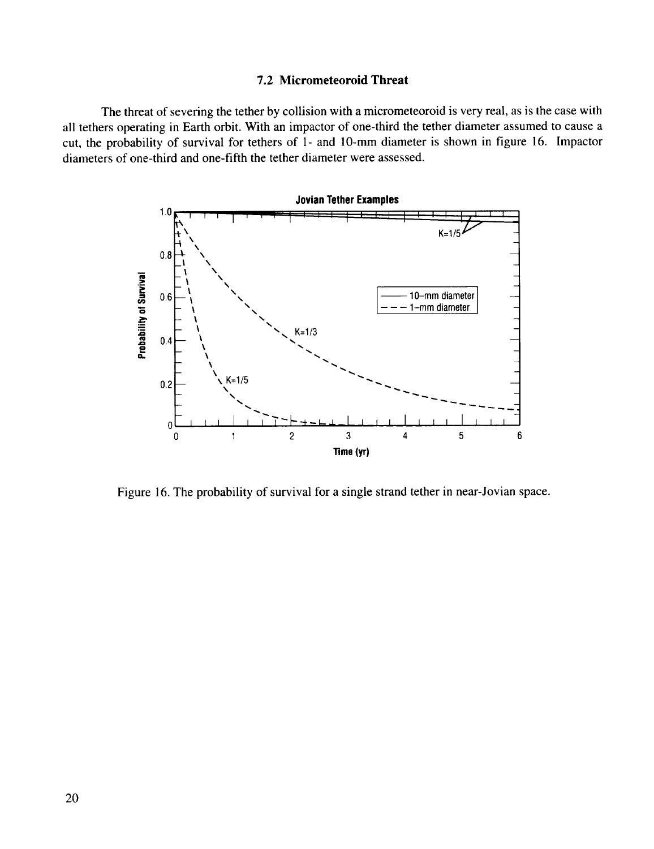#### **7.2 Micrometeoroid Threat**

The threat of severing the tether by collision with a micrometeoroid is very real, as is the case with all tethers operating in Earth orbit. With an impactor of one-third the tether diameter assumed to cause a cut, the probability of survival for tethers of 1- and 10-mm diameter is shown in figure 16. Impactor diameters of one-third and one-fifth the tether diameter were assessed.



Figure 16. The probability of survival for a single strand tether in near-Jovian space.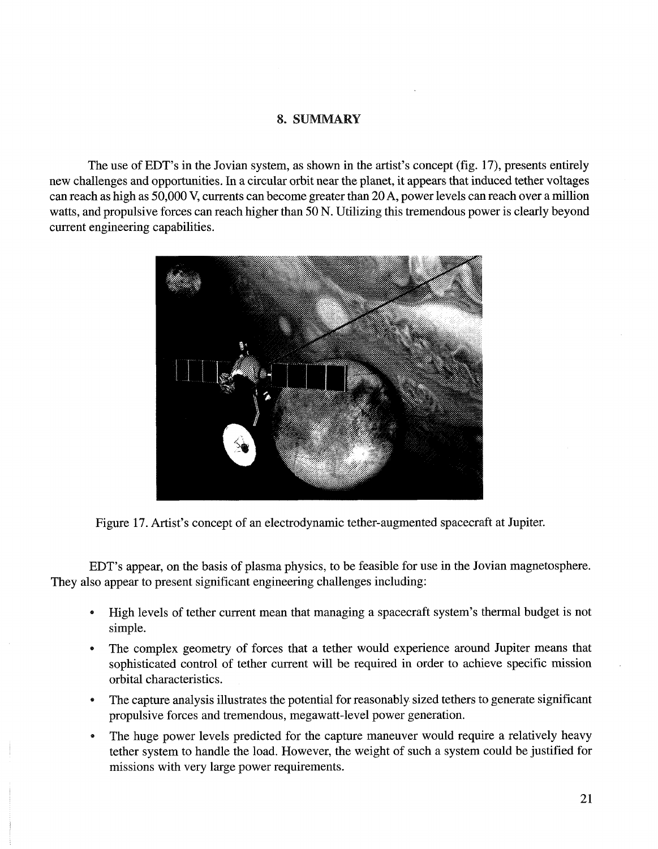#### **8. SUMMARY**

The use of EDT's in the Jovian system, as shown in the artist's concept (fig. 17), presents entirely new challenges and opportunities. In a circular orbit near the planet, it appears that induced tether voltages can reach as high as 50,000 V, currents can become greater than 20 **A,** power levels can reach over a million watts, and propulsive forces can reach higher than 50 N. Utilizing this tremendous power is clearly beyond current engineering capabilities.



Figure 17. Artist's concept of an electrodynamic tether-augmented spacecraft at Jupiter.

EDT's appear, on the basis of plasma physics, to be feasible for use in the Jovian magnetosphere. They also appear to present significant engineering challenges including:

- High levels of tether current mean that managing a spacecraft system's thermal budget is not simple.
- The complex geometry of forces that a tether would experience around Jupiter means that sophisticated control of tether current will be required in order to achieve specific mission orbital characteristics.
- The capture analysis illustrates the potential for reasonably sized tethers to generate significant propulsive forces and tremendous, megawatt-level power generation.
- The huge power levels predicted for the capture maneuver would require a relatively heavy tether system to handle the load. However, the weight of such a system could be justified for missions with very large power requirements.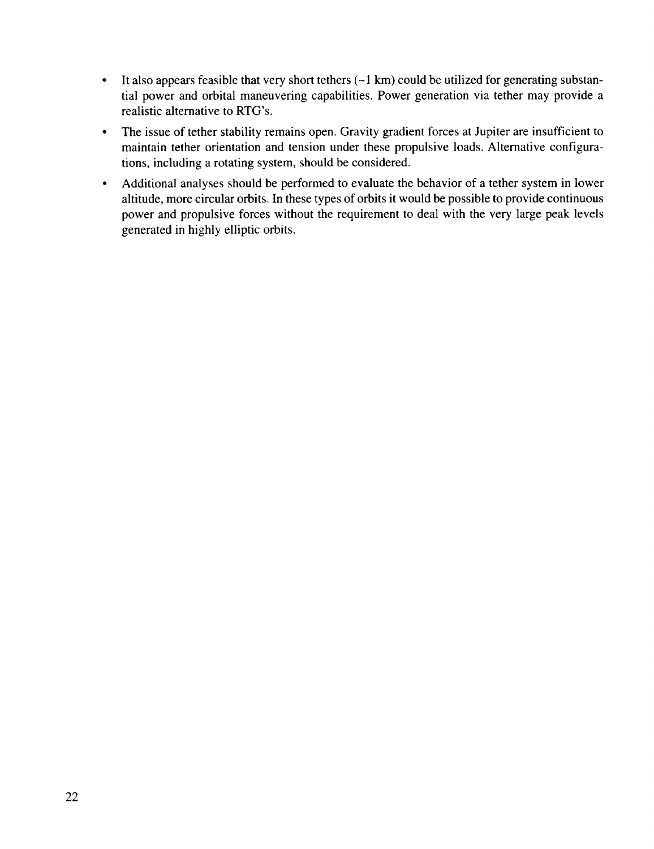- It also appears feasible that very short tethers  $(-1 \text{ km})$  could be utilized for generating substantial power and orbital maneuvering capabilities. Power generation via tether may provide a realistic alternative to RTG's.
- The issue of tether stability remains open. Gravity gradient forces at Jupiter are insufficient to maintain tether orientation and tension under these propulsive loads. Alternative configurations, including a rotating system, should be considered.
- Additional analyses should be performed to evaluate the behavior of a tether system in lower altitude, more circular orbits. In these types of orbits it would be possible to provide continuous power and propulsive forces without the requirement to deal with the very large peak levels generated in highly elliptic orbits.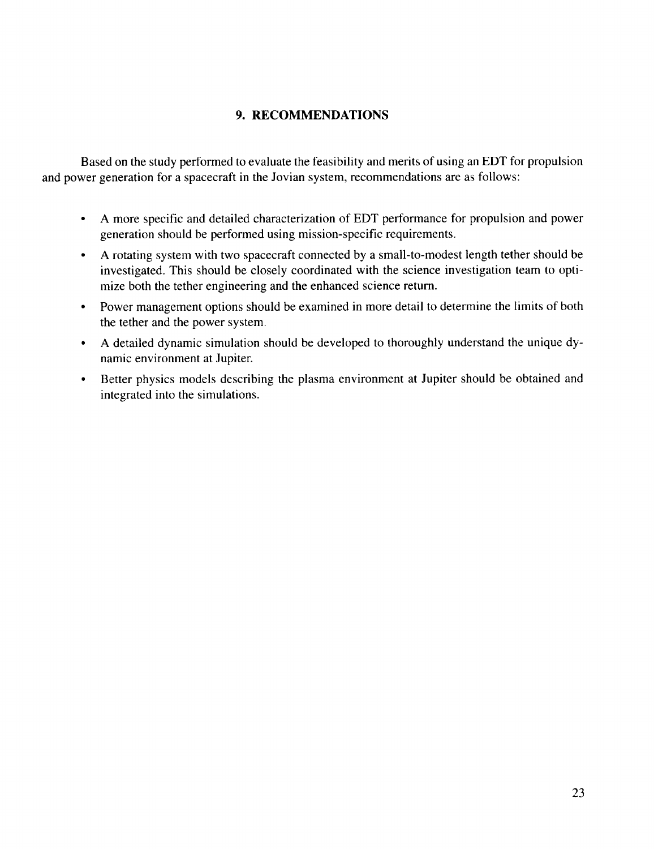# 9. **RECOMMENDATIONS**

Based **on** the study performed to evaluate **the** feasibility and merits of using an EDT for propulsion and power generation for a spacecraft in the Jovian system, recommendations are as follows:

- A more specific and detailed characterization of EDT performance for propulsion and power generation should be performed using mission-specific requirements.
- A rotating system with two spacecraft connected by a small-to-modest length tether should be investigated. This should be closely coordinated with the science investigation team to optimize both the tether engineering and the enhanced science return.
- Power management options should be examined in more detail to determine the limits of both the tether and the power system.
- A detailed dynamic simulation should be developed to thoroughly understand the unique dynamic environment at Jupiter.
- Better physics models describing the plasma environment at Jupiter should be obtained and integrated into the simulations.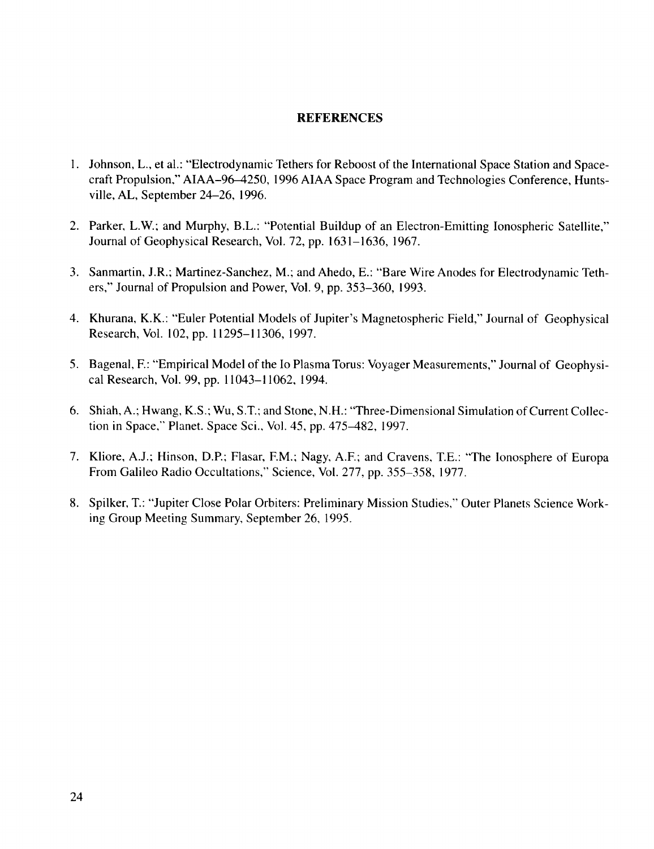#### **REFERENCES**

- 1. Johnson, L., et al.: "Electrodynamic Tethers for Reboost of the International Space Station and Spacecraft Propulsion," AIAA-96-4250, 1996 AIAA Space Program and Technologies Conference, Huntsville, AL, September 24-26, 1996.
- 2. Parker, L.W.; and Murphy, B.L.: "Potential Buildup of an Electron-Emitting Ionospheric Satellite," Journal of Geophysical Research, Vol. 72, pp. 1631-1636, 1967.
- 3. Sanmartin, J.R.; Martinez-Sanchez, M.; and Ahedo, E.: "Bare Wire Anodes for Electrodynamic Tethers," Journal of Propulsion and Power, Vol. 9, pp. 353-360, 1993.
- 4. Khurana, K.K.: "Euler Potential Models of Jupiter's Magnetospheric Field," Journal of Geophysical Research, Vol. 102, pp. 11295-11306, 1997.
- 5. Bagenal, F.: "Empirical Model of the Io Plasma Torus: Voyager Measurements," Journal of Geophysical Research, Vol. 99, pp. 11043-11062, 1994.
- **6.** Shiah, A.; Hwang, K.S.; Wu, S.T.; and Stone, N.H.: "Three-Dimensional Simulation of Current Collection in Space," Planet. Space Sci., Vol. 45, pp. 475-482, 1997.
- 7. Kliore, A.J.; Hinson, D.P.; Flasar, EM.; Nagy, A.E; and Cravens, T.E.: "The Ionosphere of Europa From Galileo Radio Occultations," Science, Vol. 277, pp. 355-358, 1977.
- 8. Spilker, T.: "Jupiter Close Polar Orbiters: Preliminary Mission Studies," Outer Planets Science Working Group Meeting Summary, September 26, 1995.